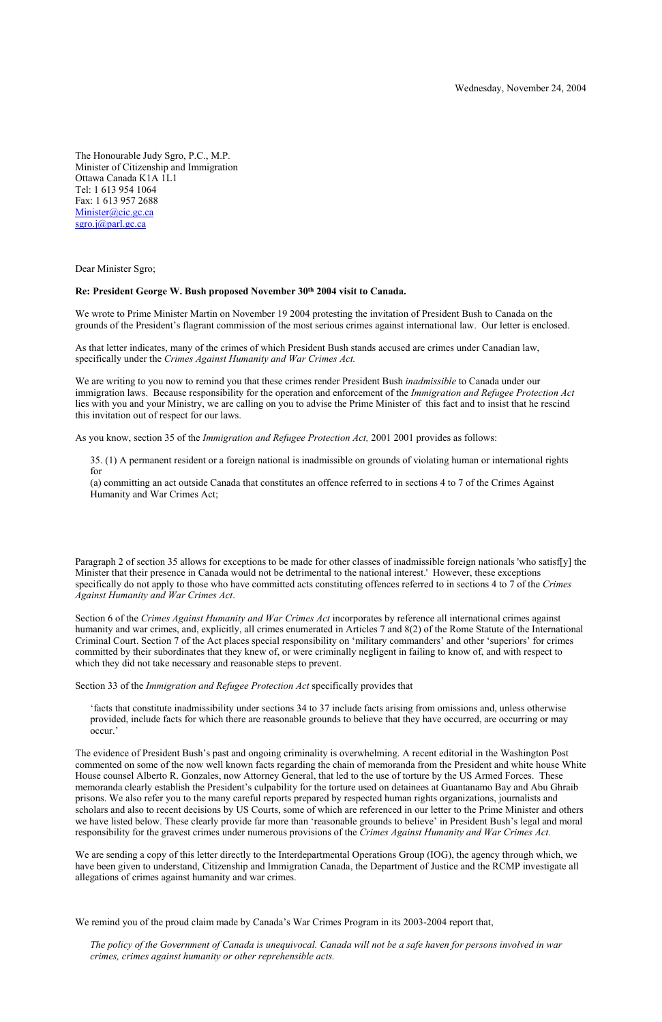The Honourable Judy Sgro, P.C., M.P. Minister of Citizenship and Immigration Ottawa Canada K1A 1L1 Tel: 1 613 954 1064 Fax: 1 613 957 2688 Minister@cic.gc.ca sgro.j@parl.gc.ca

Dear Minister Sgro;

### **Re: President George W. Bush proposed November 30th 2004 visit to Canada.**

We wrote to Prime Minister Martin on November 19 2004 protesting the invitation of President Bush to Canada on the grounds of the President's flagrant commission of the most serious crimes against international law. Our letter is enclosed.

As that letter indicates, many of the crimes of which President Bush stands accused are crimes under Canadian law, specifically under the *Crimes Against Humanity and War Crimes Act.* 

We are writing to you now to remind you that these crimes render President Bush *inadmissible* to Canada under our immigration laws. Because responsibility for the operation and enforcement of the *Immigration and Refugee Protection Act*  lies with you and your Ministry, we are calling on you to advise the Prime Minister of this fact and to insist that he rescind this invitation out of respect for our laws.

As you know, section 35 of the *Immigration and Refugee Protection Act,* 2001 2001 provides as follows:

35. (1) A permanent resident or a foreign national is inadmissible on grounds of violating human or international rights for

(a) committing an act outside Canada that constitutes an offence referred to in sections 4 to 7 of the Crimes Against Humanity and War Crimes Act;

Paragraph 2 of section 35 allows for exceptions to be made for other classes of inadmissible foreign nationals 'who satisf[y] the Minister that their presence in Canada would not be detrimental to the national interest.' However, these exceptions specifically do not apply to those who have committed acts constituting offences referred to in sections 4 to 7 of the *Crimes Against Humanity and War Crimes Act*.

Section 6 of the *Crimes Against Humanity and War Crimes Act* incorporates by reference all international crimes against humanity and war crimes, and, explicitly, all crimes enumerated in Articles 7 and 8(2) of the Rome Statute of the International Criminal Court. Section 7 of the Act places special responsibility on 'military commanders' and other 'superiors' for crimes committed by their subordinates that they knew of, or were criminally negligent in failing to know of, and with respect to which they did not take necessary and reasonable steps to prevent.

Section 33 of the *Immigration and Refugee Protection Act* specifically provides that

'facts that constitute inadmissibility under sections 34 to 37 include facts arising from omissions and, unless otherwise provided, include facts for which there are reasonable grounds to believe that they have occurred, are occurring or may occur.'

The evidence of President Bush's past and ongoing criminality is overwhelming. A recent editorial in the Washington Post commented on some of the now well known facts regarding the chain of memoranda from the President and white house White House counsel Alberto R. Gonzales, now Attorney General, that led to the use of torture by the US Armed Forces. These memoranda clearly establish the President's culpability for the torture used on detainees at Guantanamo Bay and Abu Ghraib prisons. We also refer you to the many careful reports prepared by respected human rights organizations, journalists and scholars and also to recent decisions by US Courts, some of which are referenced in our letter to the Prime Minister and others we have listed below. These clearly provide far more than 'reasonable grounds to believe' in President Bush's legal and moral responsibility for the gravest crimes under numerous provisions of the *Crimes Against Humanity and War Crimes Act.*

We are sending a copy of this letter directly to the Interdepartmental Operations Group (IOG), the agency through which, we have been given to understand, Citizenship and Immigration Canada, the Department of Justice and the RCMP investigate all allegations of crimes against humanity and war crimes.

We remind you of the proud claim made by Canada's War Crimes Program in its 2003-2004 report that,

*The policy of the Government of Canada is unequivocal. Canada will not be a safe haven for persons involved in war crimes, crimes against humanity or other reprehensible acts.*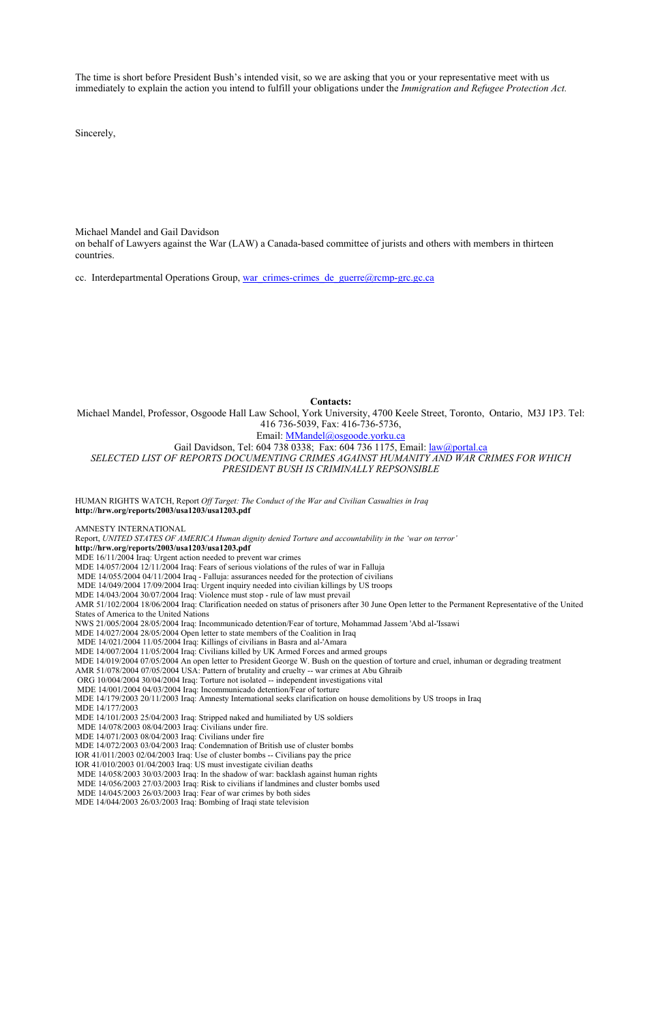The time is short before President Bush's intended visit, so we are asking that you or your representative meet with us immediately to explain the action you intend to fulfill your obligations under the *Immigration and Refugee Protection Act.*

Sincerely,

Michael Mandel and Gail Davidson

on behalf of Lawyers against the War (LAW) a Canada-based committee of jurists and others with members in thirteen countries.

cc. Interdepartmental Operations Group, war\_crimes-crimes\_de\_guerre@rcmp-grc.gc.ca

**Contacts:**

Michael Mandel, Professor, Osgoode Hall Law School, York University, 4700 Keele Street, Toronto, Ontario, M3J 1P3. Tel: 416 736-5039, Fax: 416-736-5736,

## Email: MMandel@osgoode.yorku.ca

Gail Davidson, Tel: 604 738 0338; Fax: 604 736 1175, Email: law@portal.ca *SELECTED LIST OF REPORTS DOCUMENTING CRIMES AGAINST HUMANITY AND WAR CRIMES FOR WHICH PRESIDENT BUSH IS CRIMINALLY REPSONSIBLE*

HUMAN RIGHTS WATCH, Report *Off Target: The Conduct of the War and Civilian Casualties in Iraq*  **http://hrw.org/reports/2003/usa1203/usa1203.pdf**

AMNESTY INTERNATIONAL Report, *UNITED STATES OF AMERICA Human dignity denied Torture and accountability in the 'war on terror'*  **http://hrw.org/reports/2003/usa1203/usa1203.pdf** MDE 16/11/2004 Iraq: Urgent action needed to prevent war crimes MDE 14/057/2004 12/11/2004 Iraq: Fears of serious violations of the rules of war in Falluja MDE 14/055/2004 04/11/2004 Iraq - Falluja: assurances needed for the protection of civilians MDE 14/049/2004 17/09/2004 Iraq: Urgent inquiry needed into civilian killings by US troops MDE 14/043/2004 30/07/2004 Iraq: Violence must stop - rule of law must prevail AMR 51/102/2004 18/06/2004 Iraq: Clarification needed on status of prisoners after 30 June Open letter to the Permanent Representative of the United States of America to the United Nations NWS 21/005/2004 28/05/2004 Iraq: Incommunicado detention/Fear of torture, Mohammad Jassem 'Abd al-'Issawi MDE 14/027/2004 28/05/2004 Open letter to state members of the Coalition in Iraq MDE 14/021/2004 11/05/2004 Iraq: Killings of civilians in Basra and al-'Amara MDE 14/007/2004 11/05/2004 Iraq: Civilians killed by UK Armed Forces and armed groups MDE 14/019/2004 07/05/2004 An open letter to President George W. Bush on the question of torture and cruel, inhuman or degrading treatment AMR 51/078/2004 07/05/2004 USA: Pattern of brutality and cruelty -- war crimes at Abu Ghraib ORG 10/004/2004 30/04/2004 Iraq: Torture not isolated -- independent investigations vital MDE 14/001/2004 04/03/2004 Iraq: Incommunicado detention/Fear of torture MDE 14/179/2003 20/11/2003 Iraq: Amnesty International seeks clarification on house demolitions by US troops in Iraq MDE 14/177/2003 MDE 14/101/2003 25/04/2003 Iraq: Stripped naked and humiliated by US soldiers MDE 14/078/2003 08/04/2003 Iraq: Civilians under fire. MDE 14/071/2003 08/04/2003 Iraq: Civilians under fire MDE 14/072/2003 03/04/2003 Iraq: Condemnation of British use of cluster bombs

IOR 41/011/2003 02/04/2003 Iraq: Use of cluster bombs -- Civilians pay the price IOR 41/010/2003 01/04/2003 Iraq: US must investigate civilian deaths MDE 14/058/2003 30/03/2003 Iraq: In the shadow of war: backlash against human rights MDE 14/056/2003 27/03/2003 Iraq: Risk to civilians if landmines and cluster bombs used MDE 14/045/2003 26/03/2003 Iraq: Fear of war crimes by both sides MDE 14/044/2003 26/03/2003 Iraq: Bombing of Iraqi state television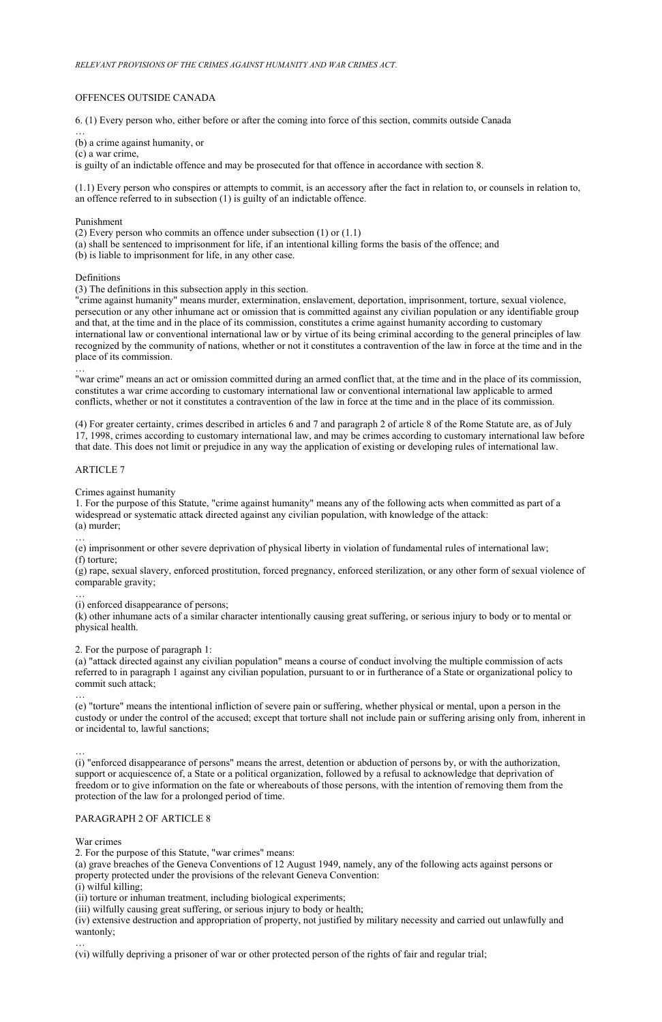### OFFENCES OUTSIDE CANADA

6. (1) Every person who, either before or after the coming into force of this section, commits outside Canada

… (b) a crime against humanity, or

(c) a war crime,

is guilty of an indictable offence and may be prosecuted for that offence in accordance with section 8.

(1.1) Every person who conspires or attempts to commit, is an accessory after the fact in relation to, or counsels in relation to, an offence referred to in subsection (1) is guilty of an indictable offence.

Punishment

(2) Every person who commits an offence under subsection (1) or (1.1)

(a) shall be sentenced to imprisonment for life, if an intentional killing forms the basis of the offence; and

(b) is liable to imprisonment for life, in any other case.

Definitions

(3) The definitions in this subsection apply in this section.

"crime against humanity" means murder, extermination, enslavement, deportation, imprisonment, torture, sexual violence, persecution or any other inhumane act or omission that is committed against any civilian population or any identifiable group and that, at the time and in the place of its commission, constitutes a crime against humanity according to customary international law or conventional international law or by virtue of its being criminal according to the general principles of law recognized by the community of nations, whether or not it constitutes a contravention of the law in force at the time and in the place of its commission.

…

"war crime" means an act or omission committed during an armed conflict that, at the time and in the place of its commission, constitutes a war crime according to customary international law or conventional international law applicable to armed conflicts, whether or not it constitutes a contravention of the law in force at the time and in the place of its commission.

(4) For greater certainty, crimes described in articles 6 and 7 and paragraph 2 of article 8 of the Rome Statute are, as of July 17, 1998, crimes according to customary international law, and may be crimes according to customary international law before that date. This does not limit or prejudice in any way the application of existing or developing rules of international law.

### ARTICLE 7

Crimes against humanity

1. For the purpose of this Statute, "crime against humanity" means any of the following acts when committed as part of a widespread or systematic attack directed against any civilian population, with knowledge of the attack: (a) murder;

…

(e) imprisonment or other severe deprivation of physical liberty in violation of fundamental rules of international law; (f) torture;

(g) rape, sexual slavery, enforced prostitution, forced pregnancy, enforced sterilization, or any other form of sexual violence of comparable gravity;

…

(i) enforced disappearance of persons;

(k) other inhumane acts of a similar character intentionally causing great suffering, or serious injury to body or to mental or physical health.

2. For the purpose of paragraph 1:

(a) "attack directed against any civilian population" means a course of conduct involving the multiple commission of acts referred to in paragraph 1 against any civilian population, pursuant to or in furtherance of a State or organizational policy to commit such attack;

…

(e) "torture" means the intentional infliction of severe pain or suffering, whether physical or mental, upon a person in the custody or under the control of the accused; except that torture shall not include pain or suffering arising only from, inherent in or incidental to, lawful sanctions;

… (i) "enforced disappearance of persons" means the arrest, detention or abduction of persons by, or with the authorization, support or acquiescence of, a State or a political organization, followed by a refusal to acknowledge that deprivation of freedom or to give information on the fate or whereabouts of those persons, with the intention of removing them from the protection of the law for a prolonged period of time.

# PARAGRAPH 2 OF ARTICLE 8

War crimes

2. For the purpose of this Statute, "war crimes" means:

(a) grave breaches of the Geneva Conventions of 12 August 1949, namely, any of the following acts against persons or property protected under the provisions of the relevant Geneva Convention:

(i) wilful killing;

(ii) torture or inhuman treatment, including biological experiments;

(iii) wilfully causing great suffering, or serious injury to body or health;

(iv) extensive destruction and appropriation of property, not justified by military necessity and carried out unlawfully and wantonly;

…

(vi) wilfully depriving a prisoner of war or other protected person of the rights of fair and regular trial;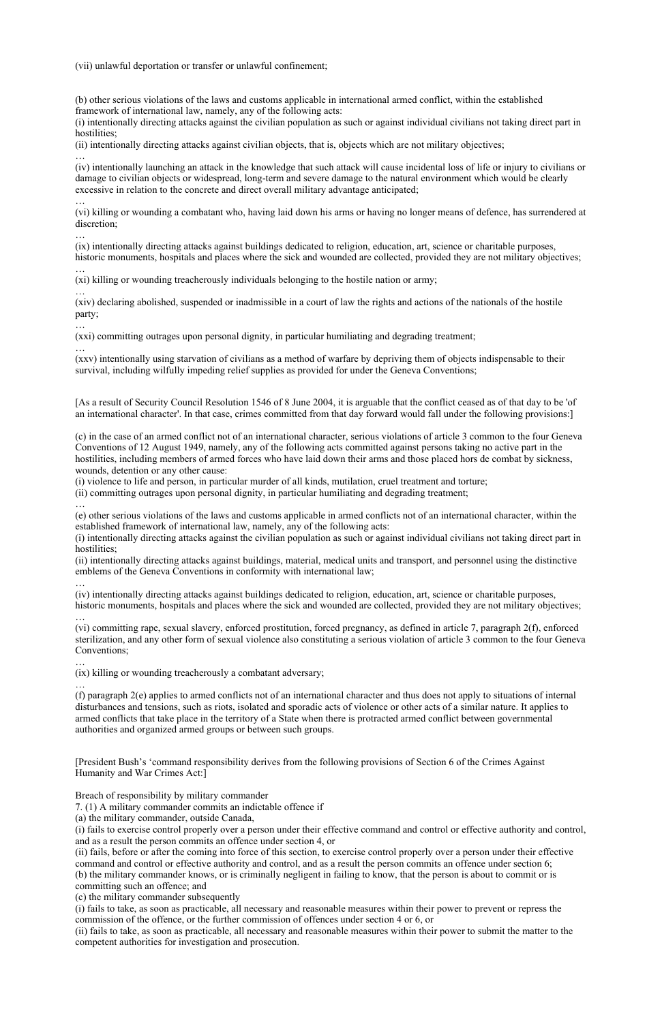(vii) unlawful deportation or transfer or unlawful confinement;

(b) other serious violations of the laws and customs applicable in international armed conflict, within the established framework of international law, namely, any of the following acts:

(i) intentionally directing attacks against the civilian population as such or against individual civilians not taking direct part in hostilities;

(ii) intentionally directing attacks against civilian objects, that is, objects which are not military objectives;

… (iv) intentionally launching an attack in the knowledge that such attack will cause incidental loss of life or injury to civilians or damage to civilian objects or widespread, long-term and severe damage to the natural environment which would be clearly excessive in relation to the concrete and direct overall military advantage anticipated;

… (vi) killing or wounding a combatant who, having laid down his arms or having no longer means of defence, has surrendered at discretion;

… (ix) intentionally directing attacks against buildings dedicated to religion, education, art, science or charitable purposes, historic monuments, hospitals and places where the sick and wounded are collected, provided they are not military objectives;

… (xi) killing or wounding treacherously individuals belonging to the hostile nation or army;

… (xiv) declaring abolished, suspended or inadmissible in a court of law the rights and actions of the nationals of the hostile party;

(i) intentionally directing attacks against the civilian population as such or against individual civilians not taking direct part in hostilities:

… (xxi) committing outrages upon personal dignity, in particular humiliating and degrading treatment;

… (xxv) intentionally using starvation of civilians as a method of warfare by depriving them of objects indispensable to their survival, including wilfully impeding relief supplies as provided for under the Geneva Conventions;

[As a result of Security Council Resolution 1546 of 8 June 2004, it is arguable that the conflict ceased as of that day to be 'of an international character'. In that case, crimes committed from that day forward would fall under the following provisions:]

(c) in the case of an armed conflict not of an international character, serious violations of article 3 common to the four Geneva Conventions of 12 August 1949, namely, any of the following acts committed against persons taking no active part in the hostilities, including members of armed forces who have laid down their arms and those placed hors de combat by sickness, wounds, detention or any other cause:

(i) violence to life and person, in particular murder of all kinds, mutilation, cruel treatment and torture;

(ii) committing outrages upon personal dignity, in particular humiliating and degrading treatment;

… (e) other serious violations of the laws and customs applicable in armed conflicts not of an international character, within the established framework of international law, namely, any of the following acts:

(ii) intentionally directing attacks against buildings, material, medical units and transport, and personnel using the distinctive emblems of the Geneva Conventions in conformity with international law;

… (iv) intentionally directing attacks against buildings dedicated to religion, education, art, science or charitable purposes, historic monuments, hospitals and places where the sick and wounded are collected, provided they are not military objectives;

… (vi) committing rape, sexual slavery, enforced prostitution, forced pregnancy, as defined in article 7, paragraph 2(f), enforced sterilization, and any other form of sexual violence also constituting a serious violation of article 3 common to the four Geneva Conventions;

… (ix) killing or wounding treacherously a combatant adversary;

… (f) paragraph 2(e) applies to armed conflicts not of an international character and thus does not apply to situations of internal disturbances and tensions, such as riots, isolated and sporadic acts of violence or other acts of a similar nature. It applies to armed conflicts that take place in the territory of a State when there is protracted armed conflict between governmental authorities and organized armed groups or between such groups.

[President Bush's 'command responsibility derives from the following provisions of Section 6 of the Crimes Against Humanity and War Crimes Act:]

Breach of responsibility by military commander

7. (1) A military commander commits an indictable offence if

(a) the military commander, outside Canada,

(i) fails to exercise control properly over a person under their effective command and control or effective authority and control, and as a result the person commits an offence under section 4, or

(ii) fails, before or after the coming into force of this section, to exercise control properly over a person under their effective command and control or effective authority and control, and as a result the person commits an offence under section 6; (b) the military commander knows, or is criminally negligent in failing to know, that the person is about to commit or is committing such an offence; and

(c) the military commander subsequently

(i) fails to take, as soon as practicable, all necessary and reasonable measures within their power to prevent or repress the commission of the offence, or the further commission of offences under section 4 or 6, or

(ii) fails to take, as soon as practicable, all necessary and reasonable measures within their power to submit the matter to the competent authorities for investigation and prosecution.